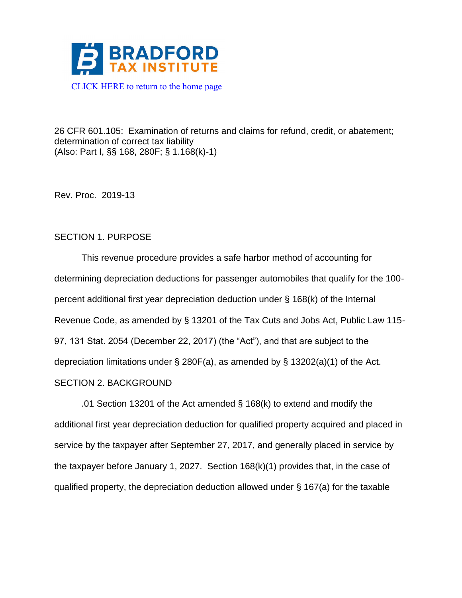

26 CFR 601.105: Examination of returns and claims for refund, credit, or abatement; determination of correct tax liability (Also: Part I, §§ 168, 280F; § 1.168(k)-1)

Rev. Proc. 2019-13

## SECTION 1. PURPOSE

This revenue procedure provides a safe harbor method of accounting for determining depreciation deductions for passenger automobiles that qualify for the 100 percent additional first year depreciation deduction under § 168(k) of the Internal Revenue Code, as amended by § 13201 of the Tax Cuts and Jobs Act, Public Law 115- 97, 131 Stat. 2054 (December 22, 2017) (the "Act"), and that are subject to the depreciation limitations under § 280F(a), as amended by § 13202(a)(1) of the Act. SECTION 2. BACKGROUND

.01 Section 13201 of the Act amended § 168(k) to extend and modify the additional first year depreciation deduction for qualified property acquired and placed in service by the taxpayer after September 27, 2017, and generally placed in service by the taxpayer before January 1, 2027. Section 168(k)(1) provides that, in the case of qualified property, the depreciation deduction allowed under § 167(a) for the taxable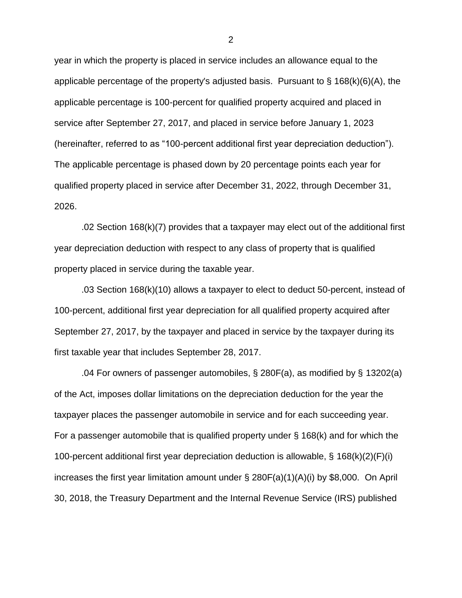year in which the property is placed in service includes an allowance equal to the applicable percentage of the property's adjusted basis. Pursuant to  $\S$  168(k)(6)(A), the applicable percentage is 100-percent for qualified property acquired and placed in service after September 27, 2017, and placed in service before January 1, 2023 (hereinafter, referred to as "100-percent additional first year depreciation deduction"). The applicable percentage is phased down by 20 percentage points each year for qualified property placed in service after December 31, 2022, through December 31, 2026.

.02 Section 168(k)(7) provides that a taxpayer may elect out of the additional first year depreciation deduction with respect to any class of property that is qualified property placed in service during the taxable year.

.03 Section 168(k)(10) allows a taxpayer to elect to deduct 50-percent, instead of 100-percent, additional first year depreciation for all qualified property acquired after September 27, 2017, by the taxpayer and placed in service by the taxpayer during its first taxable year that includes September 28, 2017.

.04 For owners of passenger automobiles, § 280F(a), as modified by § 13202(a) of the Act, imposes dollar limitations on the depreciation deduction for the year the taxpayer places the passenger automobile in service and for each succeeding year. For a passenger automobile that is qualified property under  $\S$  168(k) and for which the 100-percent additional first year depreciation deduction is allowable, § 168(k)(2)(F)(i) increases the first year limitation amount under § 280F(a)(1)(A)(i) by \$8,000. On April 30, 2018, the Treasury Department and the Internal Revenue Service (IRS) published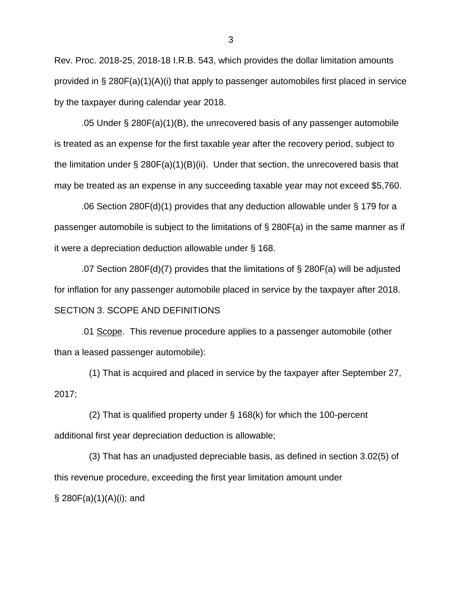Rev. Proc. 2018-25, 2018-18 I.R.B. 543, which provides the dollar limitation amounts provided in § 280F(a)(1)(A)(i) that apply to passenger automobiles first placed in service by the taxpayer during calendar year 2018.

.05 Under § 280F(a)(1)(B), the unrecovered basis of any passenger automobile is treated as an expense for the first taxable year after the recovery period, subject to the limitation under  $\S 280F(a)(1)(B)(ii)$ . Under that section, the unrecovered basis that may be treated as an expense in any succeeding taxable year may not exceed \$5,760.

.06 Section 280F(d)(1) provides that any deduction allowable under § 179 for a passenger automobile is subject to the limitations of § 280F(a) in the same manner as if it were a depreciation deduction allowable under § 168.

.07 Section 280F(d)(7) provides that the limitations of § 280F(a) will be adjusted for inflation for any passenger automobile placed in service by the taxpayer after 2018. SECTION 3. SCOPE AND DEFINITIONS

.01 Scope. This revenue procedure applies to a passenger automobile (other than a leased passenger automobile):

 (1) That is acquired and placed in service by the taxpayer after September 27, 2017;

 (2) That is qualified property under § 168(k) for which the 100-percent additional first year depreciation deduction is allowable;

 (3) That has an unadjusted depreciable basis, as defined in section 3.02(5) of this revenue procedure, exceeding the first year limitation amount under  $\S$  280F(a)(1)(A)(i); and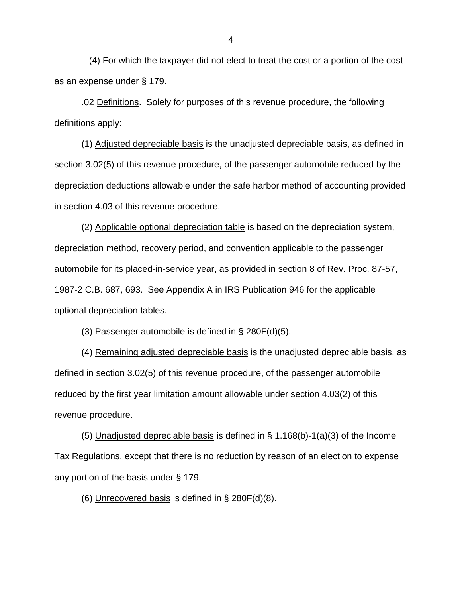(4) For which the taxpayer did not elect to treat the cost or a portion of the cost as an expense under § 179.

.02 Definitions. Solely for purposes of this revenue procedure, the following definitions apply:

(1) Adjusted depreciable basis is the unadjusted depreciable basis, as defined in section 3.02(5) of this revenue procedure, of the passenger automobile reduced by the depreciation deductions allowable under the safe harbor method of accounting provided in section 4.03 of this revenue procedure.

(2) Applicable optional depreciation table is based on the depreciation system, depreciation method, recovery period, and convention applicable to the passenger automobile for its placed-in-service year, as provided in section 8 of Rev. Proc. 87-57, 1987-2 C.B. 687, 693. See Appendix A in IRS Publication 946 for the applicable optional depreciation tables.

(3) Passenger automobile is defined in  $\S 280F(d)(5)$ .

(4) Remaining adjusted depreciable basis is the unadjusted depreciable basis, as defined in section 3.02(5) of this revenue procedure, of the passenger automobile reduced by the first year limitation amount allowable under section 4.03(2) of this revenue procedure.

(5) Unadjusted depreciable basis is defined in  $\S$  1.168(b)-1(a)(3) of the Income Tax Regulations, except that there is no reduction by reason of an election to expense any portion of the basis under § 179.

(6) Unrecovered basis is defined in  $\S$  280F(d)(8).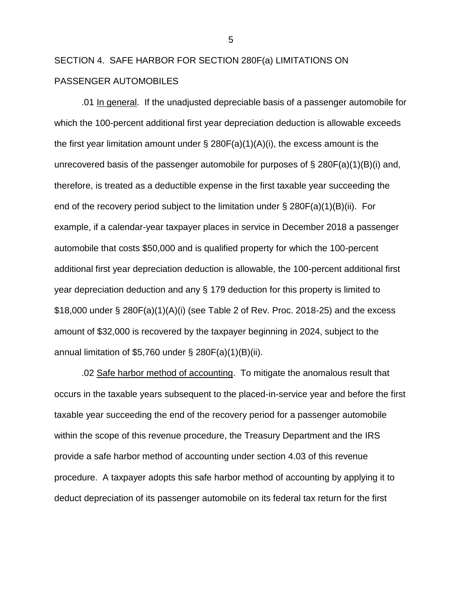# SECTION 4. SAFE HARBOR FOR SECTION 280F(a) LIMITATIONS ON PASSENGER AUTOMOBILES

.01 In general. If the unadjusted depreciable basis of a passenger automobile for which the 100-percent additional first year depreciation deduction is allowable exceeds the first year limitation amount under  $\S$  280F(a)(1)(A)(i), the excess amount is the unrecovered basis of the passenger automobile for purposes of  $\S 280F(a)(1)(B)(i)$  and, therefore, is treated as a deductible expense in the first taxable year succeeding the end of the recovery period subject to the limitation under  $\S 280F(a)(1)(B)(ii)$ . For example, if a calendar-year taxpayer places in service in December 2018 a passenger automobile that costs \$50,000 and is qualified property for which the 100-percent additional first year depreciation deduction is allowable, the 100-percent additional first year depreciation deduction and any § 179 deduction for this property is limited to \$18,000 under § 280F(a)(1)(A)(i) (see Table 2 of Rev. Proc. 2018-25) and the excess amount of \$32,000 is recovered by the taxpayer beginning in 2024, subject to the annual limitation of \$5,760 under  $\S 280F(a)(1)(B)(ii)$ .

.02 Safe harbor method of accounting. To mitigate the anomalous result that occurs in the taxable years subsequent to the placed-in-service year and before the first taxable year succeeding the end of the recovery period for a passenger automobile within the scope of this revenue procedure, the Treasury Department and the IRS provide a safe harbor method of accounting under section 4.03 of this revenue procedure. A taxpayer adopts this safe harbor method of accounting by applying it to deduct depreciation of its passenger automobile on its federal tax return for the first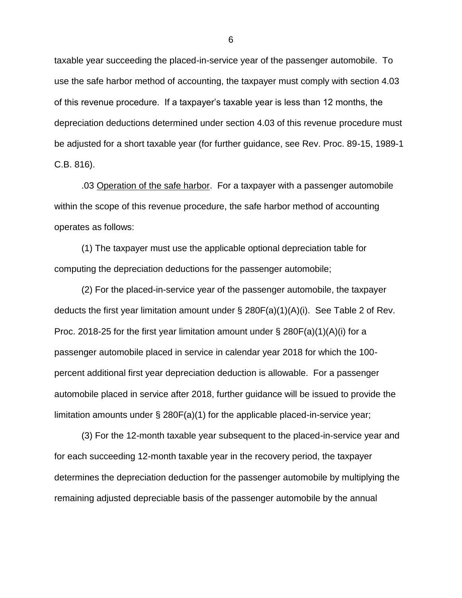taxable year succeeding the placed-in-service year of the passenger automobile. To use the safe harbor method of accounting, the taxpayer must comply with section 4.03 of this revenue procedure. If a taxpayer's taxable year is less than 12 months, the depreciation deductions determined under section 4.03 of this revenue procedure must be adjusted for a short taxable year (for further guidance, see Rev. Proc. 89-15, 1989-1 C.B. 816).

.03 Operation of the safe harbor. For a taxpayer with a passenger automobile within the scope of this revenue procedure, the safe harbor method of accounting operates as follows:

(1) The taxpayer must use the applicable optional depreciation table for computing the depreciation deductions for the passenger automobile;

(2) For the placed-in-service year of the passenger automobile, the taxpayer deducts the first year limitation amount under  $\S 280F(a)(1)(A)(i)$ . See Table 2 of Rev. Proc. 2018-25 for the first year limitation amount under  $\S$  280F(a)(1)(A)(i) for a passenger automobile placed in service in calendar year 2018 for which the 100 percent additional first year depreciation deduction is allowable. For a passenger automobile placed in service after 2018, further guidance will be issued to provide the limitation amounts under § 280F(a)(1) for the applicable placed-in-service year;

(3) For the 12-month taxable year subsequent to the placed-in-service year and for each succeeding 12-month taxable year in the recovery period, the taxpayer determines the depreciation deduction for the passenger automobile by multiplying the remaining adjusted depreciable basis of the passenger automobile by the annual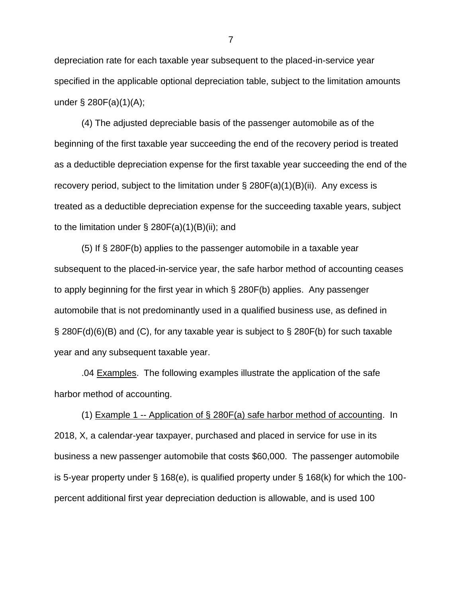depreciation rate for each taxable year subsequent to the placed-in-service year specified in the applicable optional depreciation table, subject to the limitation amounts under § 280F(a)(1)(A);

(4) The adjusted depreciable basis of the passenger automobile as of the beginning of the first taxable year succeeding the end of the recovery period is treated as a deductible depreciation expense for the first taxable year succeeding the end of the recovery period, subject to the limitation under  $\S 280F(a)(1)(B)(ii)$ . Any excess is treated as a deductible depreciation expense for the succeeding taxable years, subject to the limitation under  $\S$  280F(a)(1)(B)(ii); and

(5) If § 280F(b) applies to the passenger automobile in a taxable year subsequent to the placed-in-service year, the safe harbor method of accounting ceases to apply beginning for the first year in which § 280F(b) applies. Any passenger automobile that is not predominantly used in a qualified business use, as defined in § 280F(d)(6)(B) and (C), for any taxable year is subject to § 280F(b) for such taxable year and any subsequent taxable year.

.04 Examples. The following examples illustrate the application of the safe harbor method of accounting.

(1) Example 1 -- Application of § 280F(a) safe harbor method of accounting. In 2018, X, a calendar-year taxpayer, purchased and placed in service for use in its business a new passenger automobile that costs \$60,000. The passenger automobile is 5-year property under  $\S$  168(e), is qualified property under  $\S$  168(k) for which the 100percent additional first year depreciation deduction is allowable, and is used 100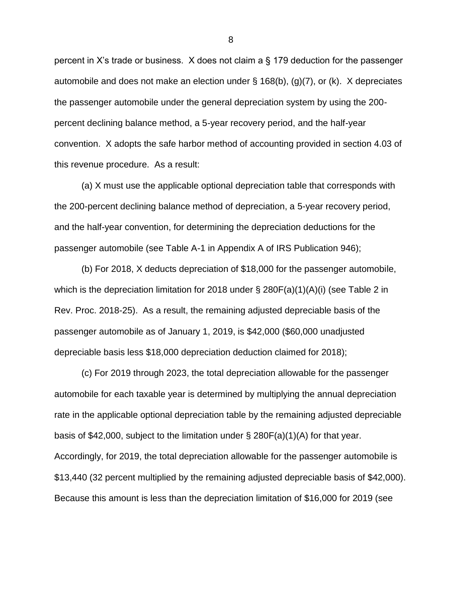percent in X's trade or business. X does not claim a § 179 deduction for the passenger automobile and does not make an election under § 168(b), (g)(7), or (k). X depreciates the passenger automobile under the general depreciation system by using the 200 percent declining balance method, a 5-year recovery period, and the half-year convention. X adopts the safe harbor method of accounting provided in section 4.03 of this revenue procedure. As a result:

(a) X must use the applicable optional depreciation table that corresponds with the 200-percent declining balance method of depreciation, a 5-year recovery period, and the half-year convention, for determining the depreciation deductions for the passenger automobile (see Table A-1 in Appendix A of IRS Publication 946);

(b) For 2018, X deducts depreciation of \$18,000 for the passenger automobile, which is the depreciation limitation for 2018 under § 280F(a)(1)(A)(i) (see Table 2 in Rev. Proc. 2018-25). As a result, the remaining adjusted depreciable basis of the passenger automobile as of January 1, 2019, is \$42,000 (\$60,000 unadjusted depreciable basis less \$18,000 depreciation deduction claimed for 2018);

(c) For 2019 through 2023, the total depreciation allowable for the passenger automobile for each taxable year is determined by multiplying the annual depreciation rate in the applicable optional depreciation table by the remaining adjusted depreciable basis of \$42,000, subject to the limitation under § 280F(a)(1)(A) for that year. Accordingly, for 2019, the total depreciation allowable for the passenger automobile is \$13,440 (32 percent multiplied by the remaining adjusted depreciable basis of \$42,000). Because this amount is less than the depreciation limitation of \$16,000 for 2019 (see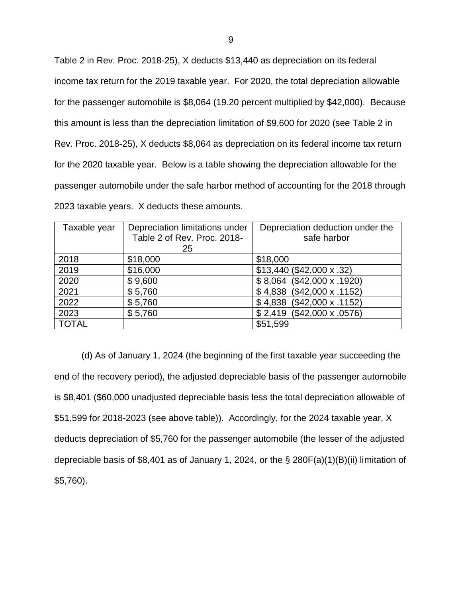Table 2 in Rev. Proc. 2018-25), X deducts \$13,440 as depreciation on its federal income tax return for the 2019 taxable year. For 2020, the total depreciation allowable for the passenger automobile is \$8,064 (19.20 percent multiplied by \$42,000). Because this amount is less than the depreciation limitation of \$9,600 for 2020 (see Table 2 in Rev. Proc. 2018-25), X deducts \$8,064 as depreciation on its federal income tax return for the 2020 taxable year. Below is a table showing the depreciation allowable for the passenger automobile under the safe harbor method of accounting for the 2018 through 2023 taxable years. X deducts these amounts.

| Taxable year | Depreciation limitations under<br>Table 2 of Rev. Proc. 2018- | Depreciation deduction under the<br>safe harbor |
|--------------|---------------------------------------------------------------|-------------------------------------------------|
|              | 25                                                            |                                                 |
| 2018         | \$18,000                                                      | \$18,000                                        |
| 2019         | \$16,000                                                      | \$13,440 (\$42,000 x .32)                       |
| 2020         | \$9,600                                                       | \$8,064 (\$42,000 x .1920)                      |
| 2021         | \$5,760                                                       | $$4,838$ (\$42,000 x .1152)                     |
| 2022         | \$5,760                                                       | $$4,838$ (\$42,000 x .1152)                     |
| 2023         | \$5,760                                                       | \$2,419 (\$42,000 x .0576)                      |
| <b>TOTAL</b> |                                                               | \$51,599                                        |

(d) As of January 1, 2024 (the beginning of the first taxable year succeeding the end of the recovery period), the adjusted depreciable basis of the passenger automobile is \$8,401 (\$60,000 unadjusted depreciable basis less the total depreciation allowable of \$51,599 for 2018-2023 (see above table)). Accordingly, for the 2024 taxable year, X deducts depreciation of \$5,760 for the passenger automobile (the lesser of the adjusted depreciable basis of \$8,401 as of January 1, 2024, or the § 280F(a)(1)(B)(ii) limitation of \$5,760).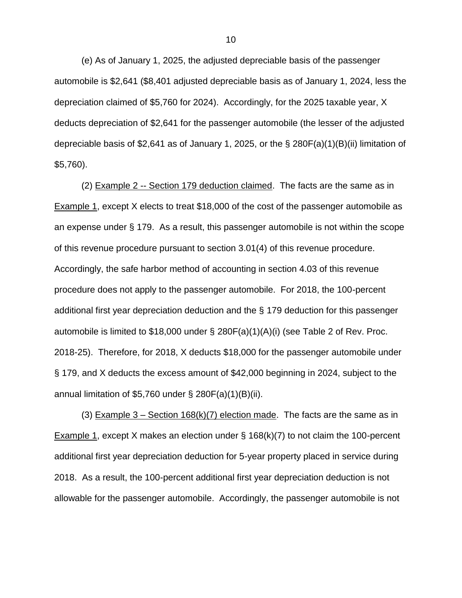(e) As of January 1, 2025, the adjusted depreciable basis of the passenger automobile is \$2,641 (\$8,401 adjusted depreciable basis as of January 1, 2024, less the depreciation claimed of \$5,760 for 2024). Accordingly, for the 2025 taxable year, X deducts depreciation of \$2,641 for the passenger automobile (the lesser of the adjusted depreciable basis of \$2,641 as of January 1, 2025, or the § 280F(a)(1)(B)(ii) limitation of \$5,760).

(2) Example 2 -- Section 179 deduction claimed. The facts are the same as in Example 1, except X elects to treat \$18,000 of the cost of the passenger automobile as an expense under § 179. As a result, this passenger automobile is not within the scope of this revenue procedure pursuant to section 3.01(4) of this revenue procedure. Accordingly, the safe harbor method of accounting in section 4.03 of this revenue procedure does not apply to the passenger automobile. For 2018, the 100-percent additional first year depreciation deduction and the § 179 deduction for this passenger automobile is limited to \$18,000 under § 280F(a)(1)(A)(i) (see Table 2 of Rev. Proc. 2018-25). Therefore, for 2018, X deducts \$18,000 for the passenger automobile under § 179, and X deducts the excess amount of \$42,000 beginning in 2024, subject to the annual limitation of \$5,760 under  $\S 280F(a)(1)(B)(ii)$ .

(3) Example  $3 -$  Section 168(k)(7) election made. The facts are the same as in Example 1, except X makes an election under § 168(k)(7) to not claim the 100-percent additional first year depreciation deduction for 5-year property placed in service during 2018. As a result, the 100-percent additional first year depreciation deduction is not allowable for the passenger automobile. Accordingly, the passenger automobile is not